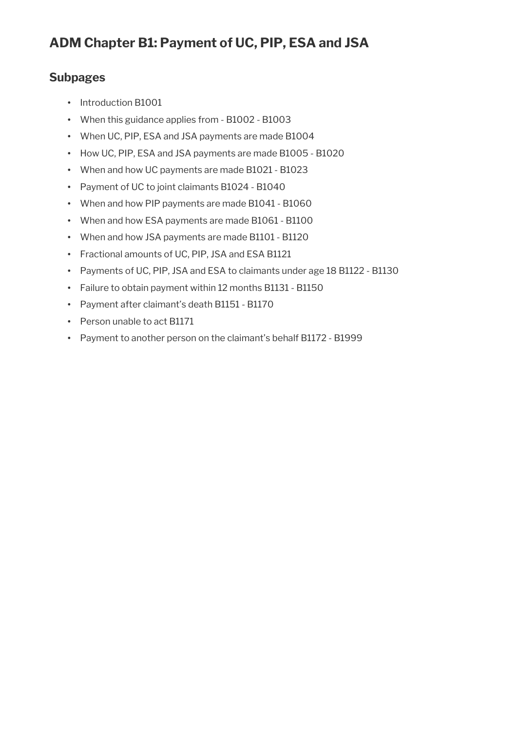## **Subpages**

- Introduction B1001
- When this guidance applies from B1002 B1003
- When UC, PIP, ESA and JSA payments are made B1004
- How UC, PIP, ESA and JSA payments are made B1005 B1020
- When and how UC payments are made B1021 B1023
- Payment of UC to joint claimants B1024 B1040
- When and how PIP payments are made B1041 B1060
- When and how ESA payments are made B1061 B1100
- When and how JSA payments are made B1101 B1120
- Fractional amounts of UC, PIP, JSA and ESA B1121
- Payments of UC, PIP, JSA and ESA to claimants under age 18 B1122 B1130
- Failure to obtain payment within 12 months B1131 B1150
- Payment after claimant's death B1151 B1170
- Person unable to act B1171
- Payment to another person on the claimant's behalf B1172 B1999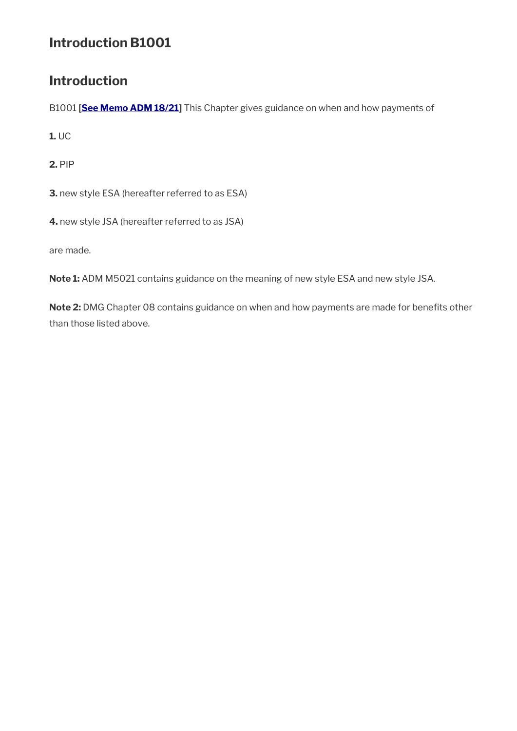## **Introduction B1001**

## **Introduction**

B1001 **[[See Memo ADM 18/21](https://intranet.dwp.gov.uk/manual/advice-decision-making-adm/18-21-staggering-payments-benefit-arrears-instalments-universal-credit-personal-independence-payment)]** This Chapter gives guidance on when and how payments of

**1.** UC

**2.** PIP

**3.** new style ESA (hereafter referred to as ESA)

**4.** new style JSA (hereafter referred to as JSA)

are made.

**Note 1:** ADM M5021 contains guidance on the meaning of new style ESA and new style JSA.

**Note 2:** DMG Chapter 08 contains guidance on when and how payments are made for benefits other than those listed above.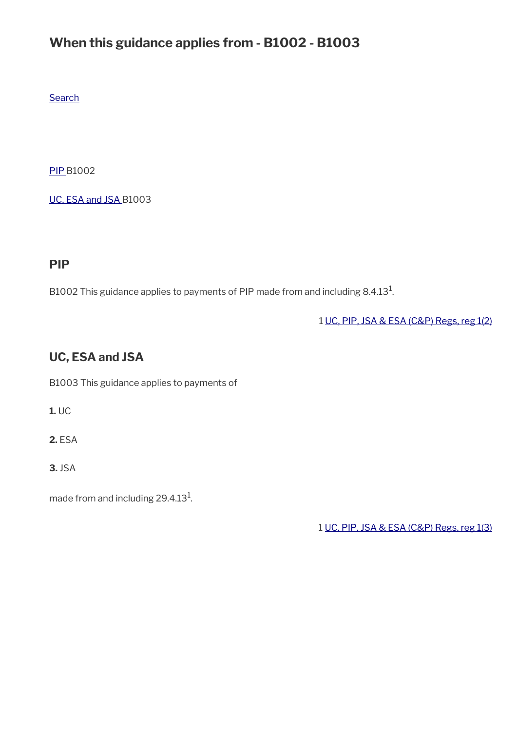## **When this guidance applies from - B1002 - B1003**

**[Search](http://dwpsearch.link2.gpn.gov.uk/search/search.jsp)** 

 [PIP](#page-2-1) B1002

 [UC, ESA and JSA](#page-2-0) B1003

#### <span id="page-2-1"></span>**PIP**

B1002 This guidance applies to payments of PIP made from and including 8.4.13<sup>1</sup>.

1 [UC, PIP, JSA & ESA \(C&P\) Regs, reg 1\(2\)](http://www.legislation.gov.uk/uksi/2013/380/regulation/1)

## <span id="page-2-0"></span>**UC, ESA and JSA**

B1003 This guidance applies to payments of

**1.** UC

**2.** ESA

**3.** JSA

made from and including 29.4.13 $^{\rm 1}$ .

1 [UC, PIP, JSA & ESA \(C&P\) Regs, reg 1\(3\)](http://www.legislation.gov.uk/uksi/2013/380/regulation/1)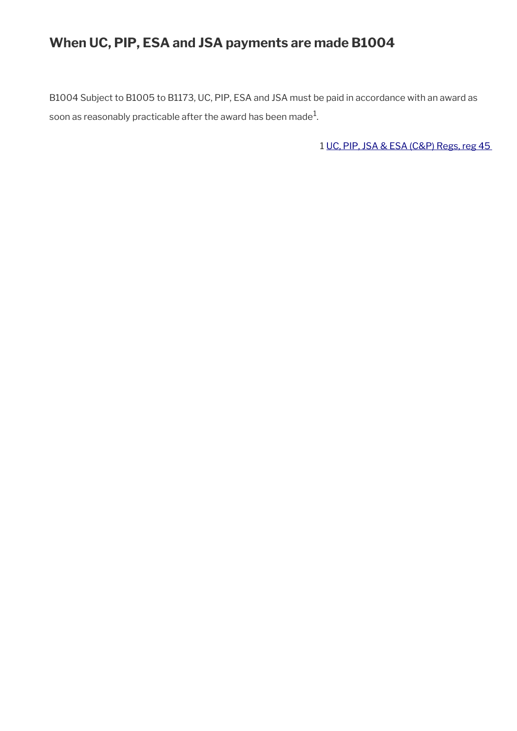## **When UC, PIP, ESA and JSA payments are made B1004**

B1004 Subject to B1005 to B1173, UC, PIP, ESA and JSA must be paid in accordance with an award as soon as reasonably practicable after the award has been made $^{\rm 1}$ .

1 [UC, PIP, JSA & ESA \(C&P\) Regs, reg 45](http://www.legislation.gov.uk/uksi/2013/380/regulation/45)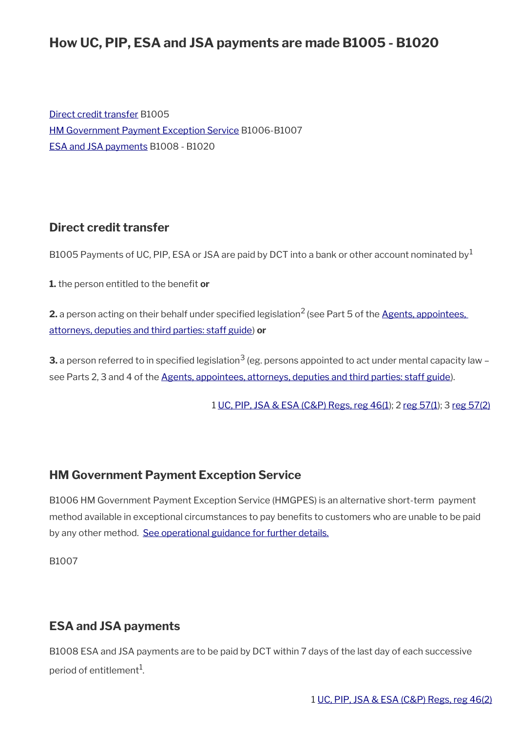## **How UC, PIP, ESA and JSA payments are made B1005 - B1020**

[Direct credit transfer](#page-4-2) B1005 [HM Government Payment Exception Service](#page-4-1) B1006-B1007 [ESA and JSA payments](#page-4-0) B1008 - B1020

## <span id="page-4-2"></span>**Direct credit transfer**

B1005 Payments of UC, PIP, ESA or JSA are paid by DCT into a bank or other account nominated by<sup>1</sup>

**1.** the person entitled to the benefit **or** 

**2.** a person acting on their behalf under specified legislation<sup>2</sup> (see Part 5 of the Agents, appointees, [attorneys, deputies and third parties: staff guide\)](https://www.gov.uk/government/publications/procedures-for-dealing-with-agents-appointees-attorneys-deputies-and-third-parties) **or**

**3.** a person referred to in specified legislation $^3$  (eg. persons appointed to act under mental capacity law – see Parts 2, 3 and 4 of the [Agents, appointees, attorneys, deputies and third parties: staff guide](https://www.gov.uk/government/publications/procedures-for-dealing-with-agents-appointees-attorneys-deputies-and-third-parties)).

1 [UC, PIP, JSA & ESA \(C&P\) Regs, reg 46\(1](http://www.legislation.gov.uk/uksi/2013/380/regulation/46)); 2 [reg 57\(1](http://www.legislation.gov.uk/uksi/2013/380/regulation/57)); 3 [reg 57\(2\)](http://www.legislation.gov.uk/uksi/2013/380/regulation/57)

## <span id="page-4-1"></span>**HM Government Payment Exception Service**

B1006 HM Government Payment Exception Service (HMGPES) is an alternative short-term payment method available in exceptional circumstances to pay benefits to customers who are unable to be paid by any other method. [See operational guidance for further details.](http://intranet.dwp.gov.uk/manual/hm-government-payment-exception-service-hmgpes)

B1007

## <span id="page-4-0"></span>**ESA and JSA payments**

B1008 ESA and JSA payments are to be paid by DCT within 7 days of the last day of each successive period of entitlement $^{\rm 1}$ .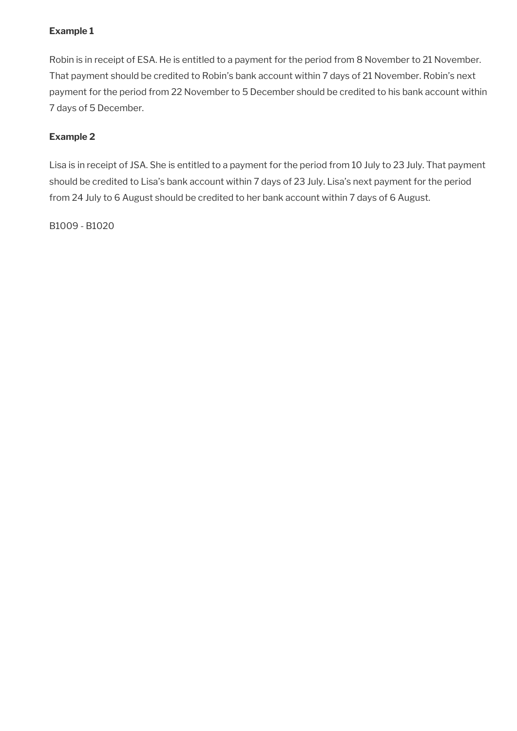#### **Example 1**

Robin is in receipt of ESA. He is entitled to a payment for the period from 8 November to 21 November. That payment should be credited to Robin's bank account within 7 days of 21 November. Robin's next payment for the period from 22 November to 5 December should be credited to his bank account within 7 days of 5 December.

#### **Example 2**

Lisa is in receipt of JSA. She is entitled to a payment for the period from 10 July to 23 July. That payment should be credited to Lisa's bank account within 7 days of 23 July. Lisa's next payment for the period from 24 July to 6 August should be credited to her bank account within 7 days of 6 August.

B1009 - B1020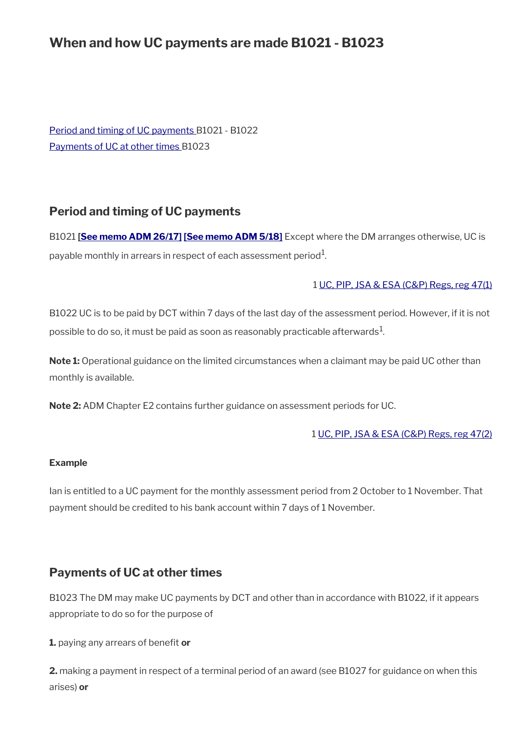## **When and how UC payments are made B1021 - B1023**

[Period and timing of UC payments](#page-6-1) B1021 - B1022 [Payments of UC at other times](#page-6-0) B1023

## <span id="page-6-1"></span>**Period and timing of UC payments**

B1021 **[\[ See memo ADM 26/17\]](http://intranet.dwp.gov.uk/manual/advice-decision-making-adm/memo-adm-2617-operation-claims-and-payments-system-uc-relation-scotland) [\[See memo ADM 5/18\]](http://intranet.dwp.gov.uk/manual/advice-decision-making-adm/5-18-application-universal-credit-claims-and-payments-scotland-amendment-regulations-2017-operations)** Except where the DM arranges otherwise, UC is payable monthly in arrears in respect of each assessment period $^{\rm 1}$ .

#### 1 [UC, PIP, JSA & ESA \(C&P\) Regs, reg 47\(1\)](http://www.legislation.gov.uk/uksi/2013/380/regulation/47)

B1022 UC is to be paid by DCT within 7 days of the last day of the assessment period. However, if it is not possible to do so, it must be paid as soon as reasonably practicable afterwards $^1\!$ 

**Note 1:** Operational guidance on the limited circumstances when a claimant may be paid UC other than monthly is available.

**Note 2:** ADM Chapter E2 contains further guidance on assessment periods for UC.

#### 1 [UC, PIP, JSA & ESA \(C&P\) Regs, reg 47\(2\)](http://www.legislation.gov.uk/uksi/2013/380/regulation/47)

#### **Example**

Ian is entitled to a UC payment for the monthly assessment period from 2 October to 1 November. That payment should be credited to his bank account within 7 days of 1 November.

#### <span id="page-6-0"></span>**Payments of UC at other times**

B1023 The DM may make UC payments by DCT and other than in accordance with B1022, if it appears appropriate to do so for the purpose of

**1.** paying any arrears of benefit **or**

**2.** making a payment in respect of a terminal period of an award (see B1027 for guidance on when this arises) **or**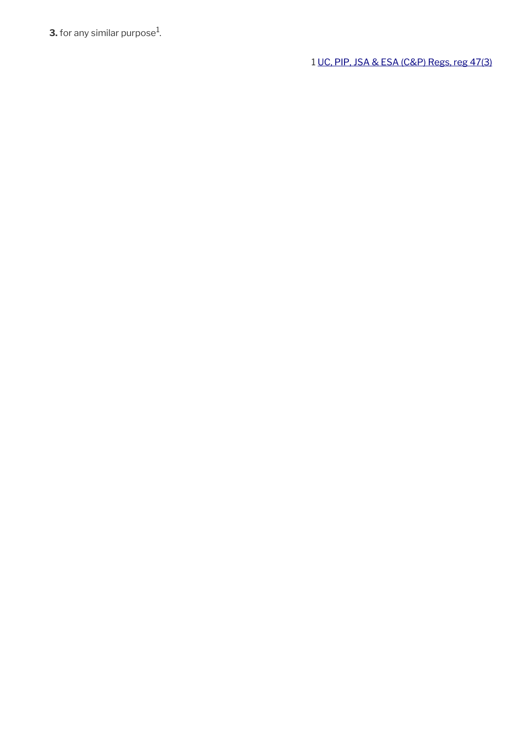**3.** for any similar purpose $^1$ .

1 [UC, PIP, JSA & ESA \(C&P\) Regs, reg 47\(3\)](http://www.legislation.gov.uk/uksi/2013/380/regulation/47)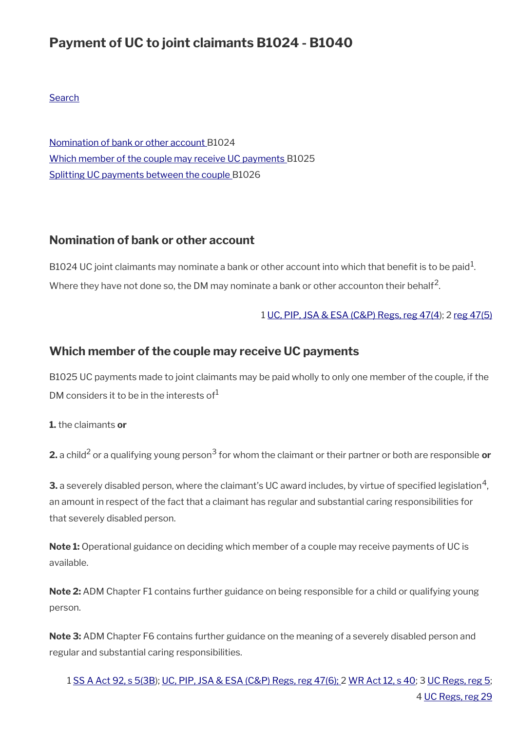## **Payment of UC to joint claimants B1024 - B1040**

#### **[Search](http://dwpsearch.link2.gpn.gov.uk/search/search.jsp)**

[Nomination of bank or other account](#page-8-1) B1024 [Which member of the couple may receive UC payments](#page-8-0) B1025 [Splitting UC payments between the couple](#page-9-0) B1026

### <span id="page-8-1"></span>**Nomination of bank or other account**

B1024 UC joint claimants may nominate a bank or other account into which that benefit is to be paid $^1$ . Where they have not done so, the DM may nominate a bank or other accounton their behalf<sup>2</sup>.

1 [UC, PIP, JSA & ESA \(C&P\) Regs, reg 47\(4](http://www.legislation.gov.uk/uksi/2013/380/regulation/47)); 2 [reg 47\(5\)](http://www.legislation.gov.uk/uksi/2013/380/regulation/47)

#### <span id="page-8-0"></span>**Which member of the couple may receive UC payments**

B1025 UC payments made to joint claimants may be paid wholly to only one member of the couple, if the DM considers it to be in the interests of  $1$ 

**1.** the claimants **or**

 $\mathbf{2}.$  a child<sup>2</sup> or a qualifying young person $^3$  for whom the claimant or their partner or both are responsible  $\mathbf{or}$ 

 $\bf 3.$  a severely disabled person, where the claimant's UC award includes, by virtue of specified legislation $^4$ , an amount in respect of the fact that a claimant has regular and substantial caring responsibilities for that severely disabled person.

**Note 1:** Operational guidance on deciding which member of a couple may receive payments of UC is available.

**Note 2:** ADM Chapter F1 contains further guidance on being responsible for a child or qualifying young person.

**Note 3:** ADM Chapter F6 contains further guidance on the meaning of a severely disabled person and regular and substantial caring responsibilities.

1 [SS A Act 92, s 5\(3B\)](http://www.legislation.gov.uk/ukpga/1992/5/contents); [UC, PIP, JSA & ESA \(C&P\) Regs, reg 47\(6\); 2](http://www.legislation.gov.uk/uksi/2013/380/regulation/47) [WR Act 12, s 40;](http://www.legislation.gov.uk/ukpga/2012/5/section/40) 3 [UC Regs, reg 5;](http://www.legislation.gov.uk/uksi/2013/376/regulation/5) 4 [UC Regs, reg 29](http://www.legislation.gov.uk/uksi/2013/376/regulation/29)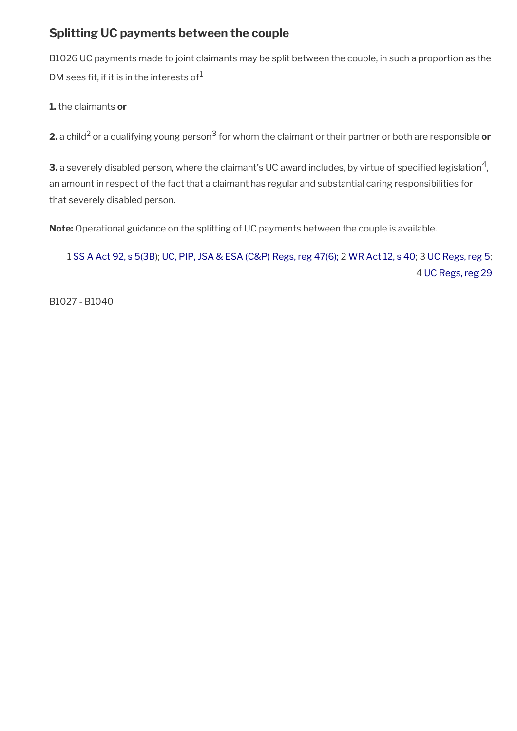## <span id="page-9-0"></span>**Splitting UC payments between the couple**

B1026 UC payments made to joint claimants may be split between the couple, in such a proportion as the DM sees fit, if it is in the interests of  $1$ 

**1.** the claimants **or**

 $\mathbf{2}.$  a child<sup>2</sup> or a qualifying young person $^3$  for whom the claimant or their partner or both are responsible  $\mathsf{or}$ 

 $\bf 3.$  a severely disabled person, where the claimant's UC award includes, by virtue of specified legislation $^4$ , an amount in respect of the fact that a claimant has regular and substantial caring responsibilities for that severely disabled person.

**Note:** Operational guidance on the splitting of UC payments between the couple is available.

1 [SS A Act 92, s 5\(3B\)](http://www.legislation.gov.uk/ukpga/1992/5/contents); [UC, PIP, JSA & ESA \(C&P\) Regs, reg 47\(6\); 2](http://www.legislation.gov.uk/uksi/2013/380/regulation/47) [WR Act 12, s 40;](http://www.legislation.gov.uk/ukpga/2012/5/section/40) 3 [UC Regs, reg 5;](http://www.legislation.gov.uk/uksi/2013/376/regulation/5) 4 [UC Regs, reg 29](http://www.legislation.gov.uk/uksi/2013/376/regulation/29)

B1027 - B1040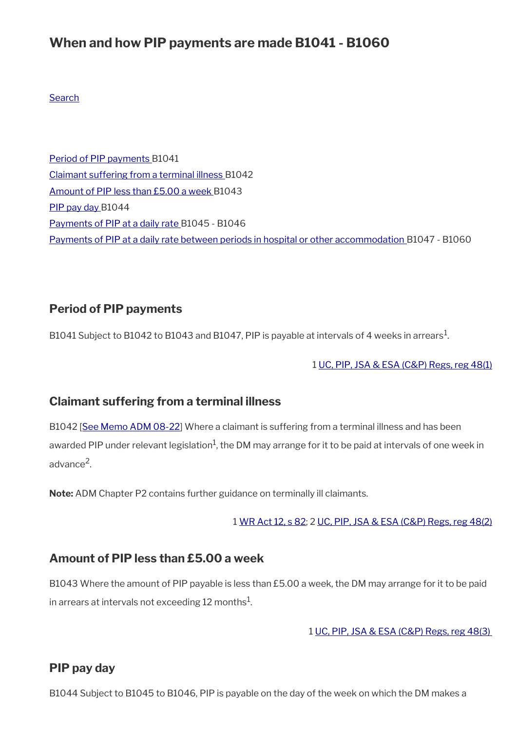## **When and how PIP payments are made B1041 - B1060**

**[Search](http://dwpsearch.link2.gpn.gov.uk/search/search.jsp)** 

[Period of PIP payments B](#page-10-3)1041 [Claimant suffering from a terminal illness](#page-10-2) B1042 [Amount of PIP less than £5.00 a week](#page-10-1) B1043 [PIP pay day](#page-10-0) B1044 [Payments of PIP at a daily rate](#page-11-1) B1045 - B1046 [Payments of PIP at a daily rate between periods in hospital or other accommodation](#page-11-0) B1047 - B1060

## <span id="page-10-3"></span>**Period of PIP payments**

B1041 Subject to B1042 to B1043 and B1047, PIP is payable at intervals of 4 weeks in arrears $^{\rm 1}$ .

1 [UC, PIP, JSA & ESA \(C&P\) Regs, reg 48\(1\)](http://www.legislation.gov.uk/uksi/2013/380/regulation/48)

## <span id="page-10-2"></span>**Claimant suffering from a terminal illness**

B1042 [[See Memo ADM 08-22](https://intranet.dwp.gov.uk/manual/advice-decision-making-adm/08-22-uc-esa-ns-change-definition-terminally-ill)] Where a claimant is suffering from a terminal illness and has been awarded PIP under relevant legislation $^1$ , the DM may arrange for it to be paid at intervals of one week in advance<sup>2</sup>.

**Note:** ADM Chapter P2 contains further guidance on terminally ill claimants.

#### 1 [WR Act 12, s 82](http://www.legislation.gov.uk/ukpga/2012/5/section/82); 2 [UC, PIP, JSA & ESA \(C&P\) Regs, reg 48\(2\)](http://www.legislation.gov.uk/uksi/2013/380/regulation/48)

## <span id="page-10-1"></span>**Amount of PIP less than £5.00 a week**

B1043 Where the amount of PIP payable is less than £5.00 a week, the DM may arrange for it to be paid in arrears at intervals not exceeding 12 months $^{\rm 1}$ .

1 [UC, PIP, JSA & ESA \(C&P\) Regs, reg 48\(3\)](http://www.legislation.gov.uk/uksi/2013/380/regulation/48) 

## <span id="page-10-0"></span>**PIP pay day**

B1044 Subject to B1045 to B1046, PIP is payable on the day of the week on which the DM makes a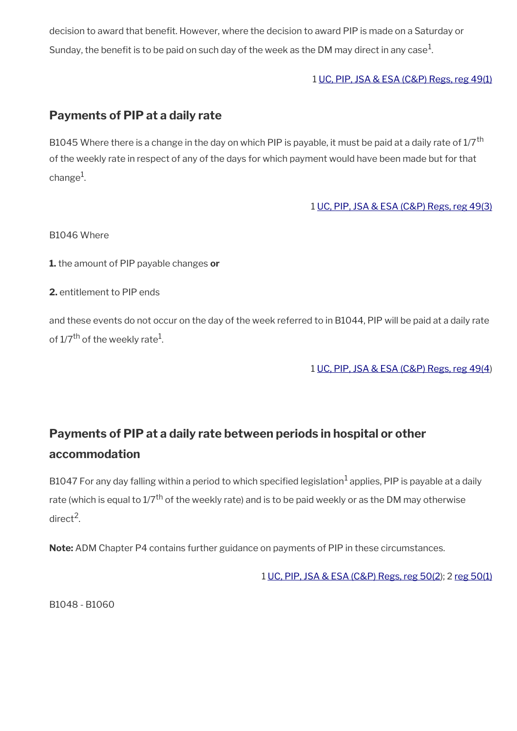decision to award that benefit. However, where the decision to award PIP is made on a Saturday or Sunday, the benefit is to be paid on such day of the week as the DM may direct in any case $^1\!$ 

#### 1 [UC, PIP, JSA & ESA \(C&P\) Regs, reg 49\(1\)](http://www.legislation.gov.uk/uksi/2013/380/regulation/49)

## <span id="page-11-1"></span>**Payments of PIP at a daily rate**

B1045 Where there is a change in the day on which PIP is payable, it must be paid at a daily rate of  $1/7<sup>th</sup>$ of the weekly rate in respect of any of the days for which payment would have been made but for that change $^1$ .

#### 1 [UC, PIP, JSA & ESA \(C&P\) Regs, reg 49\(3\)](http://www.legislation.gov.uk/uksi/2013/380/regulation/49)

B1046 Where

**1.** the amount of PIP payable changes **or** 

**2.** entitlement to PIP ends

and these events do not occur on the day of the week referred to in B1044, PIP will be paid at a daily rate of 1/7 $^{\sf th}$  of the weekly rate $^{\sf 1}$ .

1 [UC, PIP, JSA & ESA \(C&P\) Regs, reg 49\(4](http://www.legislation.gov.uk/uksi/2013/380/regulation/49))

# <span id="page-11-0"></span>**Payments of PIP at a daily rate between periods in hospital or other accommodation**

B1047 For any day falling within a period to which specified legislation $^1$  applies, PIP is payable at a daily rate (which is equal to  $1/7<sup>th</sup>$  of the weekly rate) and is to be paid weekly or as the DM may otherwise direct<sup>2</sup>.

**Note:** ADM Chapter P4 contains further guidance on payments of PIP in these circumstances.

1 [UC, PIP, JSA & ESA \(C&P\) Regs, reg 50\(2](http://www.legislation.gov.uk/uksi/2013/380/regulation/50)); 2 [reg 50\(1\)](http://www.legislation.gov.uk/uksi/2013/380/regulation/50)

B1048 - B1060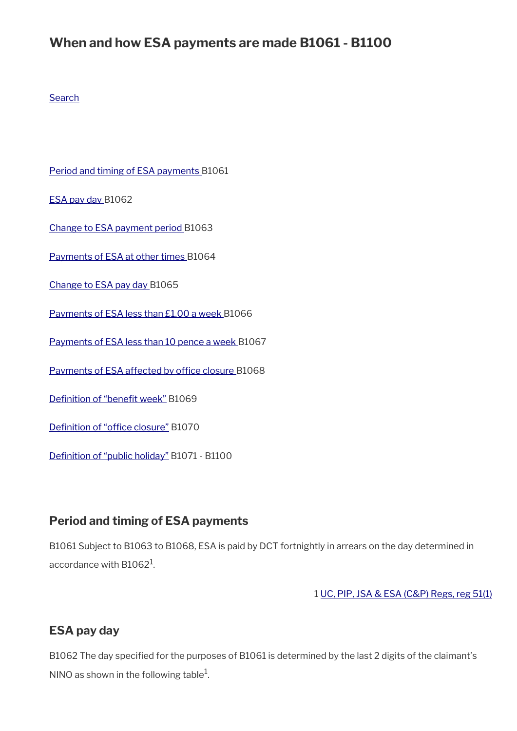## **When and how ESA payments are made B1061 - B1100**

#### **[Search](http://dwpsearch.link2.gpn.gov.uk/search/search.jsp)**

[Period and timing of ESA payments](#page-12-1) B1061

[ESA pay day B](#page-12-0)1062

[Change to ESA payment period](#page-13-2) B1063

[Payments of ESA at other times](#page-13-1) B1064

[Change to ESA pay day](#page-13-0) B1065

[Payments of ESA less than £1.00 a week](#page-14-4) B1066

[Payments of ESA less than 10 pence a week](#page-14-3) B1067

[Payments of ESA affected by office closure](#page-14-2) B1068

[Definition of "benefit week"](#page-14-1) B1069

[Definition of "office closure"](#page-14-0) B1070

[Definition of "public holiday"](#page-15-0) B1071 - B1100

## <span id="page-12-1"></span>**Period and timing of ESA payments**

B1061 Subject to B1063 to B1068, ESA is paid by DCT fortnightly in arrears on the day determined in accordance with B1062 $^{\rm 1}$ .

1 [UC, PIP, JSA & ESA \(C&P\) Regs, reg 51\(1\)](http://www.legislation.gov.uk/uksi/2013/380/regulation/51)

## <span id="page-12-0"></span>**ESA pay day**

B1062 The day specified for the purposes of B1061 is determined by the last 2 digits of the claimant's NINO as shown in the following table $^1$ .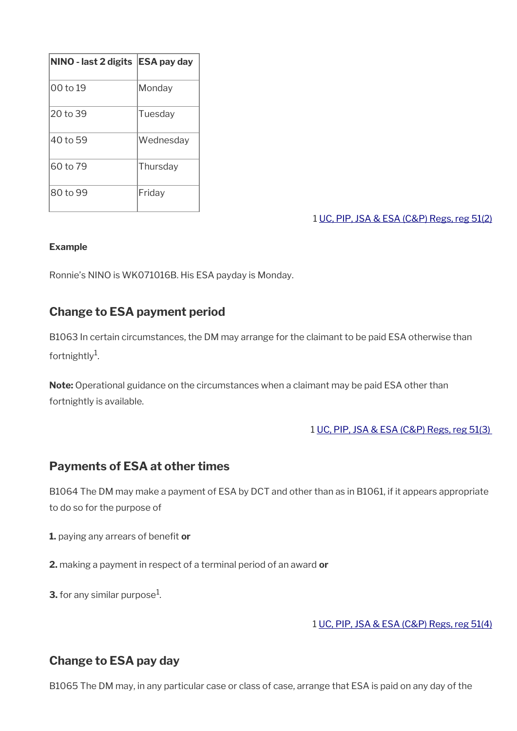| NINO - last 2 digits ESA pay day |           |
|----------------------------------|-----------|
| $00$ to $19$                     | Monday    |
| 20 to 39                         | Tuesday   |
| 40 to 59                         | Wednesday |
| 60 to 79                         | Thursday  |
| 80 to 99                         | Friday    |

#### 1 [UC, PIP, JSA & ESA \(C&P\) Regs, reg 51\(2\)](http://www.legislation.gov.uk/uksi/2013/380/regulation/51)

#### **Example**

Ronnie's NINO is WK071016B. His ESA payday is Monday.

## <span id="page-13-2"></span>**Change to ESA payment period**

B1063 In certain circumstances, the DM may arrange for the claimant to be paid ESA otherwise than fortnightly $^1$ .

**Note:** Operational guidance on the circumstances when a claimant may be paid ESA other than fortnightly is available.

#### 1 [UC, PIP, JSA & ESA \(C&P\) Regs, reg 51\(3\)](http://www.legislation.gov.uk/uksi/2013/380/regulation/51)

## <span id="page-13-1"></span>**Payments of ESA at other times**

B1064 The DM may make a payment of ESA by DCT and other than as in B1061, if it appears appropriate to do so for the purpose of

**1.** paying any arrears of benefit **or**

**2.** making a payment in respect of a terminal period of an award **or**

**3.** for any similar purpose $^1$ .

1 [UC, PIP, JSA & ESA \(C&P\) Regs, reg 51\(4\)](http://www.legislation.gov.uk/uksi/2013/380/regulation/51)

## <span id="page-13-0"></span>**Change to ESA pay day**

B1065 The DM may, in any particular case or class of case, arrange that ESA is paid on any day of the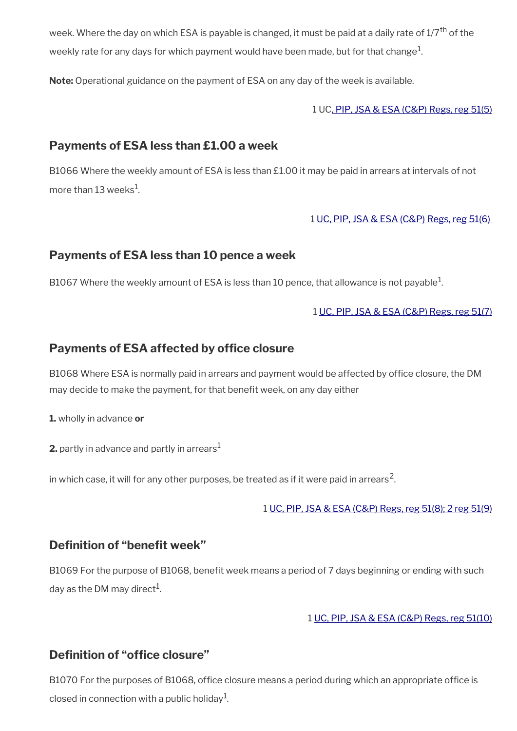week. Where the day on which ESA is payable is changed, it must be paid at a daily rate of 1/7<sup>th</sup> of the weekly rate for any days for which payment would have been made, but for that change $^1\!$ 

**Note:** Operational guidance on the payment of ESA on any day of the week is available.

1 UC[, PIP, JSA & ESA \(C&P\) Regs, reg 51\(5\)](http://www.legislation.gov.uk/uksi/2013/380/regulation/51)

## <span id="page-14-4"></span>**Payments of ESA less than £1.00 a week**

B1066 Where the weekly amount of ESA is less than £1.00 it may be paid in arrears at intervals of not more than 13 weeks $^{\rm 1}$ .

1 [UC, PIP, JSA & ESA \(C&P\) Regs, reg 51\(6\)](http://www.legislation.gov.uk/uksi/2013/380/regulation/51) 

## <span id="page-14-3"></span>**Payments of ESA less than 10 pence a week**

B1067 Where the weekly amount of ESA is less than 10 pence, that allowance is not payable $^1\!$ 

1 [UC, PIP, JSA & ESA \(C&P\) Regs, reg 51\(7\)](http://www.legislation.gov.uk/uksi/2013/380/regulation/51)

## <span id="page-14-2"></span>**Payments of ESA affected by office closure**

B1068 Where ESA is normally paid in arrears and payment would be affected by office closure, the DM may decide to make the payment, for that benefit week, on any day either

**1.** wholly in advance **or**

**2.** partly in advance and partly in arrears<sup>1</sup>

in which case, it will for any other purposes, be treated as if it were paid in arrears<sup>2</sup>.

1 [UC, PIP, JSA & ESA \(C&P\) Regs, reg 51\(8\); 2 reg 51\(9\)](http://www.legislation.gov.uk/uksi/2013/380/regulation/51)

## <span id="page-14-1"></span>**Definition of "benefit week"**

B1069 For the purpose of B1068, benefit week means a period of 7 days beginning or ending with such day as the DM may direct $^{\rm 1}$ .

1 [UC, PIP, JSA & ESA \(C&P\) Regs, reg 51\(10\)](http://www.legislation.gov.uk/uksi/2013/380/regulation/51)

## <span id="page-14-0"></span>**Definition of "office closure"**

B1070 For the purposes of B1068, office closure means a period during which an appropriate office is closed in connection with a public holiday $^{\rm 1}$ .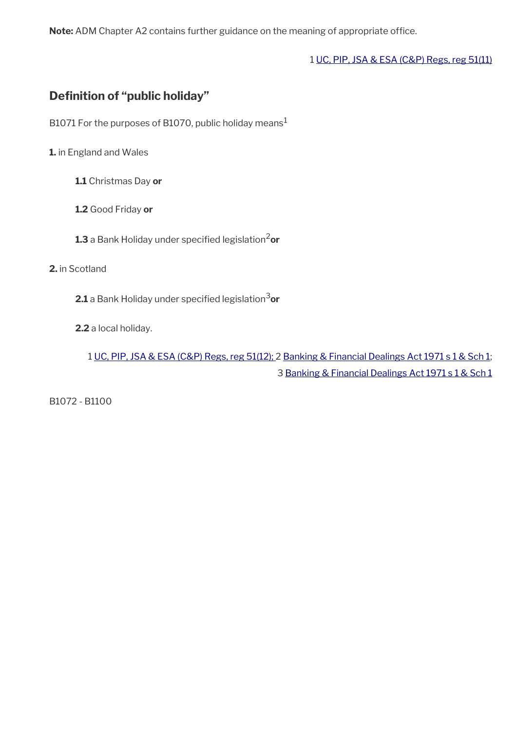**Note:** ADM Chapter A2 contains further guidance on the meaning of appropriate office.

#### 1 [UC, PIP, JSA & ESA \(C&P\) Regs, reg 51\(11\)](http://www.legislation.gov.uk/uksi/2013/380/regulation/51)

## <span id="page-15-0"></span>**Definition of "public holiday"**

B1071 For the purposes of B1070, public holiday means<sup>1</sup>

**1.** in England and Wales

**1.1** Christmas Day **or**

**1.2** Good Friday **or**

**1.3** a Bank Holiday under specified legislation<sup>2</sup>or

**2.** in Scotland

**2.1** a Bank Holiday under specified legislation<sup>3</sup>or

**2.2** a local holiday.

1 [UC, PIP, JSA & ESA \(C&P\) Regs, reg 51\(12\);](http://www.legislation.gov.uk/uksi/2013/380/regulation/51) 2 [Banking & Financial Dealings Act 1971 s 1 & Sch 1;](http://www.legislation.gov.uk/ukpga/1971/80/schedule/1) 3 [Banking & Financial Dealings Act 1971 s 1 & Sch 1](http://www.legislation.gov.uk/ukpga/1971/80/schedule/1)

B1072 - B1100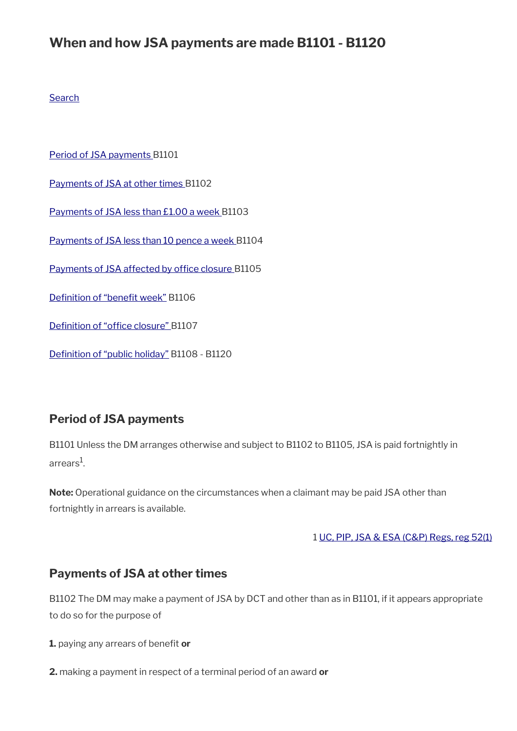## **When and how JSA payments are made B1101 - B1120**

#### **[Search](http://dwpsearch.link2.gpn.gov.uk/search/search.jsp)**

[Period of JSA payments](#page-16-1) B1101

[Payments of JSA at other times](#page-16-0) B1102

[Payments of JSA less than £1.00 a week](#page-17-2) B1103

[Payments of JSA less than 10 pence a week](#page-17-1) B1104

[Payments of JSA affected by office closure B](#page-17-0)1105

[Definition of "benefit week"](#page-14-1) B1106

[Definition of "office closure"](#page-14-0) B1107

[Definition of "public holiday"](#page-15-0) B1108 - B1120

## <span id="page-16-1"></span>**Period of JSA payments**

B1101 Unless the DM arranges otherwise and subject to B1102 to B1105, JSA is paid fortnightly in arrears<sup>1</sup>.

**Note:** Operational guidance on the circumstances when a claimant may be paid JSA other than fortnightly in arrears is available.

1 [UC, PIP, JSA & ESA \(C&P\) Regs, reg 52\(1\)](http://www.legislation.gov.uk/uksi/2013/380/regulation/52)

## <span id="page-16-0"></span>**Payments of JSA at other times**

B1102 The DM may make a payment of JSA by DCT and other than as in B1101, if it appears appropriate to do so for the purpose of

**1.** paying any arrears of benefit **or**

**2.** making a payment in respect of a terminal period of an award **or**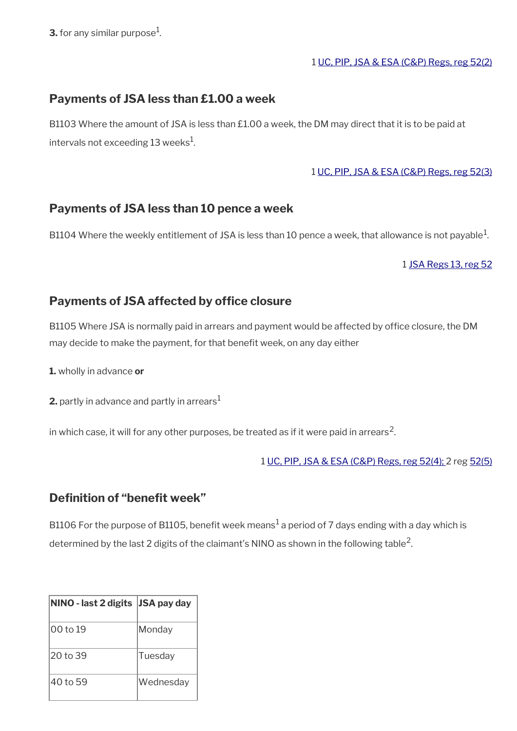**3.** for any similar purpose $^1$ .

#### 1 [UC, PIP, JSA & ESA \(C&P\) Regs, reg 52\(2\)](http://www.legislation.gov.uk/uksi/2013/380/regulation/52)

### <span id="page-17-2"></span>**Payments of JSA less than £1.00 a week**

B1103 Where the amount of JSA is less than £1.00 a week, the DM may direct that it is to be paid at intervals not exceeding 13 weeks $^{\rm 1}$ .

#### 1 [UC, PIP, JSA & ESA \(C&P\) Regs, reg 52\(3\)](http://www.legislation.gov.uk/uksi/2013/380/regulation/52)

## <span id="page-17-1"></span>**Payments of JSA less than 10 pence a week**

B1104 Where the weekly entitlement of JSA is less than 10 pence a week, that allowance is not payable  $^1$ .

1 [JSA Regs 13, reg 52](http://www.legislation.gov.uk/uksi/2013/378/regulation/52)

## <span id="page-17-0"></span>**Payments of JSA affected by office closure**

B1105 Where JSA is normally paid in arrears and payment would be affected by office closure, the DM may decide to make the payment, for that benefit week, on any day either

**1.** wholly in advance **or**

**2.** partly in advance and partly in arrears<sup>1</sup>

in which case, it will for any other purposes, be treated as if it were paid in arrears<sup>2</sup>.

1 [UC, PIP, JSA & ESA \(C&P\) Regs, reg 52\(4\); 2](http://www.legislation.gov.uk/uksi/2013/380/regulation/52) reg [52\(5\)](http://www.legislation.gov.uk/uksi/2013/380/regulation/52)

#### **Definition of "benefit week"**

B1106 For the purpose of B1105, benefit week means $^1$  a period of 7 days ending with a day which is determined by the last 2 digits of the claimant's NINO as shown in the following table<sup>2</sup>.

| NINO - last 2 digits JSA pay day |           |
|----------------------------------|-----------|
| 00 to 19                         | Monday    |
| l20 to 39                        | Tuesday   |
| 40 to 59                         | Wednesday |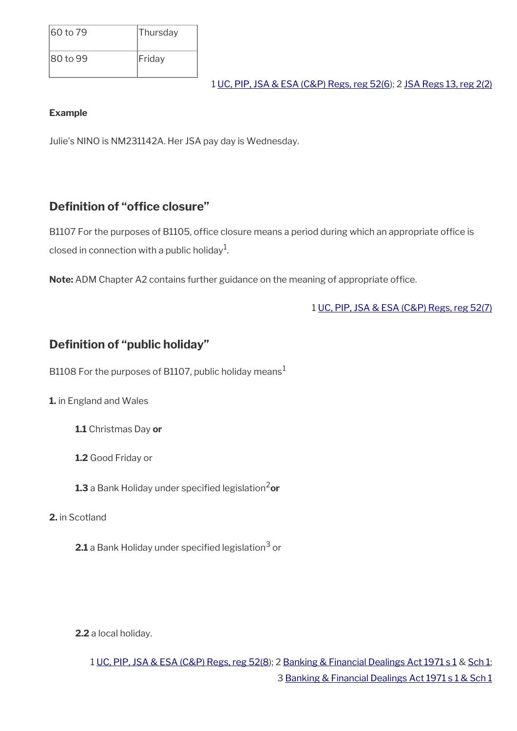| 160 to 79 | Thursday |
|-----------|----------|
| 180 to 99 | Friday   |

#### **Example**

Julie's NINO is NM231142A. Her JSA pay day is Wednesday.

## **Definition of "office closure"**

B1107 For the purposes of B1105, office closure means a period during which an appropriate office is closed in connection with a public holiday $^{\rm 1}$ .

**Note:** ADM Chapter A2 contains further guidance on the meaning of appropriate office.

1 [UC, PIP, JSA & ESA \(C&P\) Regs, reg 52\(7\)](http://www.legislation.gov.uk/uksi/2013/380/regulation/52)

## **Definition of "public holiday"**

B1108 For the purposes of B1107, public holiday means<sup>1</sup>

**1.** in England and Wales

**1.1** Christmas Day **or**

**1.2** Good Friday or

**1.3** a Bank Holiday under specified legislation<sup>2</sup>or

**2.** in Scotland

**2.1** a Bank Holiday under specified legislation $^3$  or

**2.2** a local holiday.

1 [UC, PIP, JSA & ESA \(C&P\) Regs, reg 52\(8\)](http://www.legislation.gov.uk/uksi/2013/380/regulation/52); 2 [Banking & Financial Dealings Act 1971 s 1](http://www.legislation.gov.uk/ukpga/1971/80/section/1) & [Sch 1;](http://www.legislation.gov.uk/ukpga/1971/80/schedule/1) 3 [Banking & Financial Dealings Act 1971 s 1 & Sch 1](http://www.legislation.gov.uk/ukpga/1971/80/schedule/1)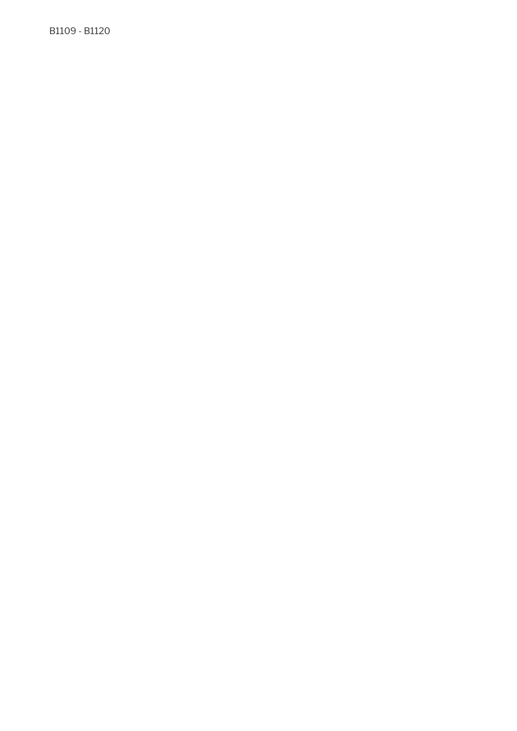B1109 - B1120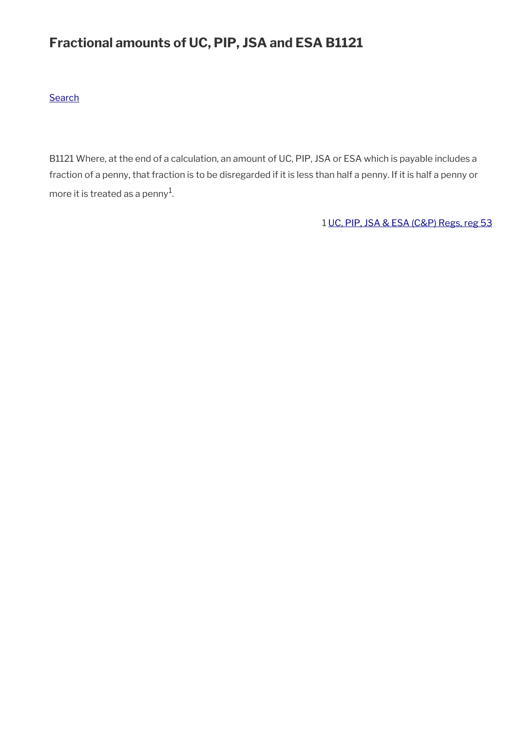## **Fractional amounts of UC, PIP, JSA and ESA B1121**

**[Search](http://dwpsearch.link2.gpn.gov.uk/search/search.jsp)** 

B1121 Where, at the end of a calculation, an amount of UC, PIP, JSA or ESA which is payable includes a fraction of a penny, that fraction is to be disregarded if it is less than half a penny. If it is half a penny or more it is treated as a penny $^{\rm 1}$ .

1 [UC, PIP, JSA & ESA \(C&P\) Regs, reg 53](http://www.legislation.gov.uk/uksi/2013/380/regulation/53)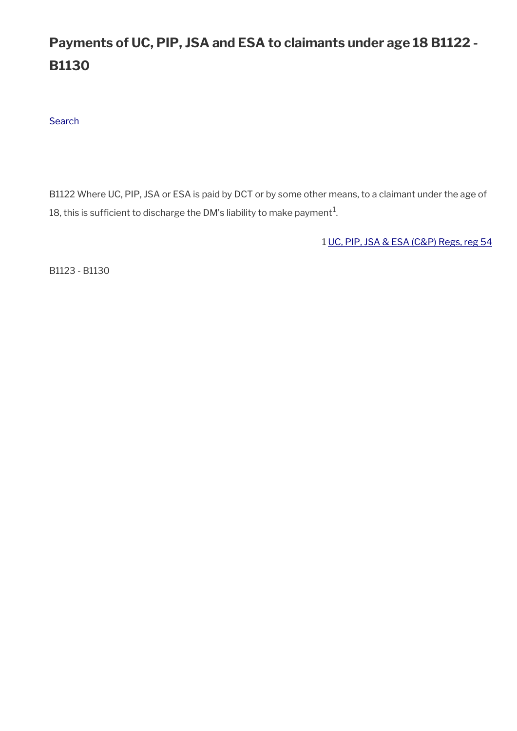# **Payments of UC, PIP, JSA and ESA to claimants under age 18 B1122 - B1130**

**[Search](http://dwpsearch.link2.gpn.gov.uk/search/search.jsp)** 

B1122 Where UC, PIP, JSA or ESA is paid by DCT or by some other means, to a claimant under the age of 18, this is sufficient to discharge the DM's liability to make payment $^{\mathrm{1}}$ .

1 [UC, PIP, JSA & ESA \(C&P\) Regs, reg 54](http://www.legislation.gov.uk/uksi/2013/380/regulation/54)

B1123 - B1130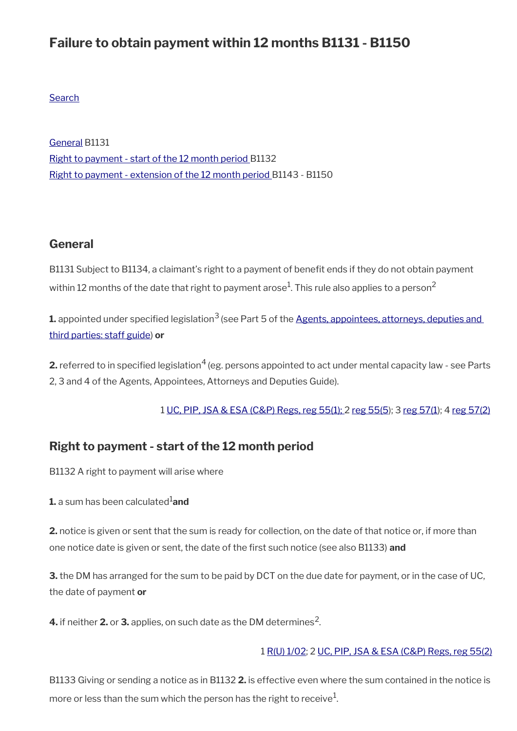## **Failure to obtain payment within 12 months B1131 - B1150**

#### **[Search](http://dwpsearch.link2.gpn.gov.uk/search/search.jsp)**

[General](#page-22-1) B1131 [Right to payment - start of the 12 month period](#page-22-0) B1132 [Right to payment - extension of the 12 month period](#page-23-0) B1143 - B1150

#### <span id="page-22-1"></span>**General**

B1131 Subject to B1134, a claimant's right to a payment of benefit ends if they do not obtain payment within 12 months of the date that right to payment arose $^1$ . This rule also applies to a person $^2$ 

**1.** appointed under specified legislation<sup>3</sup> (see Part 5 of the Agents, appointees, attorneys, deputies and [third parties: staff guide](https://www.gov.uk/government/publications/procedures-for-dealing-with-agents-appointees-attorneys-deputies-and-third-parties)) **or** 

**2.** referred to in specified legislation<sup>4</sup> (eg. persons appointed to act under mental capacity law - see Parts 2, 3 and 4 of the Agents, Appointees, Attorneys and Deputies Guide).

1 [UC, PIP, JSA & ESA \(C&P\) Regs, reg 55\(1\); 2](https://www.legislation.gov.uk/uksi/2013/380/regulation/55) [reg 55\(5\)](http://www.legislation.gov.uk/uksi/2013/380/regulation/55); 3 [reg 57\(1](http://www.legislation.gov.uk/uksi/2013/380/regulation/57)); 4 [reg 57\(2\)](http://www.legislation.gov.uk/uksi/2013/380/regulation/57)

## <span id="page-22-0"></span>**Right to payment - start of the 12 month period**

B1132 A right to payment will arise where

#### **1.** a sum has been calculated $^1$ and

**2.** notice is given or sent that the sum is ready for collection, on the date of that notice or, if more than one notice date is given or sent, the date of the first such notice (see also B1133) **and**

**3.** the DM has arranged for the sum to be paid by DCT on the due date for payment, or in the case of UC, the date of payment **or**

**4.** if neither **2.** or **3.** applies, on such date as the DM determines<sup>2</sup>.

#### 1 [R\(U\) 1/02](http://intranet.dwp.gov.uk/manual/decision-benefit/ru-1-02); 2 [UC, PIP, JSA & ESA \(C&P\) Regs, reg 55\(2\)](http://www.legislation.gov.uk/uksi/2013/380/regulation/55)

B1133 Giving or sending a notice as in B1132 **2.** is effective even where the sum contained in the notice is more or less than the sum which the person has the right to receive $^1\!$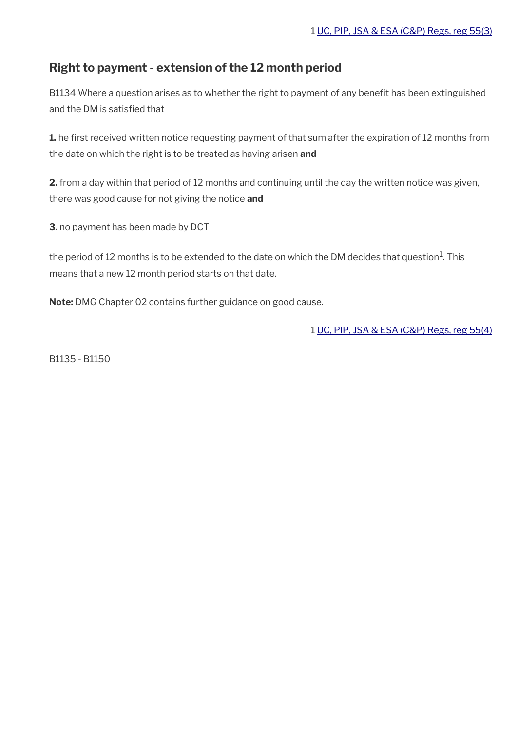## <span id="page-23-0"></span>**Right to payment - extension of the 12 month period**

B1134 Where a question arises as to whether the right to payment of any benefit has been extinguished and the DM is satisfied that

**1.** he first received written notice requesting payment of that sum after the expiration of 12 months from the date on which the right is to be treated as having arisen **and**

**2.** from a day within that period of 12 months and continuing until the day the written notice was given, there was good cause for not giving the notice **and**

**3.** no payment has been made by DCT

the period of 12 months is to be extended to the date on which the DM decides that question $^{\rm 1}$ . This means that a new 12 month period starts on that date.

**Note:** DMG Chapter 02 contains further guidance on good cause.

1 [UC, PIP, JSA & ESA \(C&P\) Regs, reg 55\(4\)](http://www.legislation.gov.uk/uksi/2013/380/regulation/55)

B1135 - B1150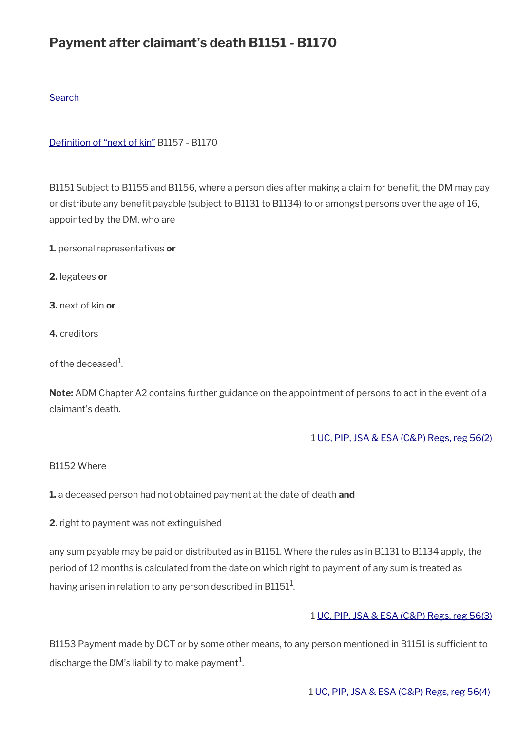## **Payment after claimant's death B1151 - B1170**

#### **[Search](http://dwpsearch.link2.gpn.gov.uk/search/search.jsp)**

#### [Definition of "next of kin"](#page-25-0) B1157 - B1170

B1151 Subject to B1155 and B1156, where a person dies after making a claim for benefit, the DM may pay or distribute any benefit payable (subject to B1131 to B1134) to or amongst persons over the age of 16, appointed by the DM, who are

- **1.** personal representatives **or**
- **2.** legatees **or**
- **3.** next of kin **or**
- **4.** creditors
- of the deceased $^{\rm 1}$ .

**Note:** ADM Chapter A2 contains further guidance on the appointment of persons to act in the event of a claimant's death.

#### 1 [UC, PIP, JSA & ESA \(C&P\) Regs, reg 56\(2\)](http://www.legislation.gov.uk/uksi/2013/380/regulation/56)

#### B1152 Where

**1.** a deceased person had not obtained payment at the date of death **and**

**2.** right to payment was not extinguished

any sum payable may be paid or distributed as in B1151. Where the rules as in B1131 to B1134 apply, the period of 12 months is calculated from the date on which right to payment of any sum is treated as having arisen in relation to any person described in B1151 $^{\rm 1}$ .

#### 1 [UC, PIP, JSA & ESA \(C&P\) Regs, reg 56\(3\)](http://www.legislation.gov.uk/uksi/2013/380/regulation/56)

B1153 Payment made by DCT or by some other means, to any person mentioned in B1151 is sufficient to discharge the DM's liability to make payment $^1$ .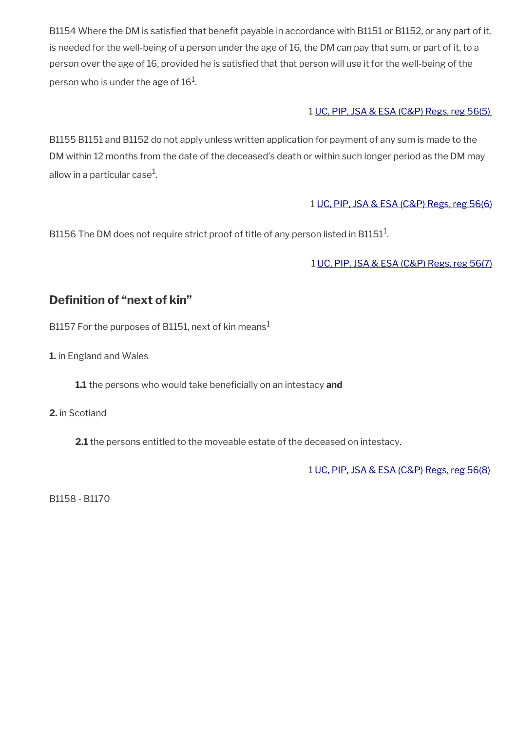B1154 Where the DM is satisfied that benefit payable in accordance with B1151 or B1152, or any part of it, is needed for the well-being of a person under the age of 16, the DM can pay that sum, or part of it, to a person over the age of 16, provided he is satisfied that that person will use it for the well-being of the person who is under the age of 16 $^{\rm 1}$ .

#### 1 [UC, PIP, JSA & ESA \(C&P\) Regs, reg 56\(5\)](http://www.legislation.gov.uk/uksi/2013/380/regulation/56)

B1155 B1151 and B1152 do not apply unless written application for payment of any sum is made to the DM within 12 months from the date of the deceased's death or within such longer period as the DM may allow in a particular case $^{\rm 1}$ .

#### 1 [UC, PIP, JSA & ESA \(C&P\) Regs, reg 56\(6\)](http://www.legislation.gov.uk/uksi/2013/380/regulation/56)

B1156 The DM does not require strict proof of title of any person listed in B1151 $^{\rm 1}$ .

#### 1 [UC, PIP, JSA & ESA \(C&P\) Regs, reg 56\(7\)](http://www.legislation.gov.uk/uksi/2013/380/regulation/56)

## <span id="page-25-0"></span>**Definition of "next of kin"**

B1157 For the purposes of B1151, next of kin means<sup>1</sup>

**1.** in England and Wales

**1.1** the persons who would take beneficially on an intestacy **and**

**2.** in Scotland

**2.1** the persons entitled to the moveable estate of the deceased on intestacy.

1 [UC, PIP, JSA & ESA \(C&P\) Regs, reg 56\(8\)](http://www.legislation.gov.uk/uksi/2013/380/regulation/56) 

B1158 - B1170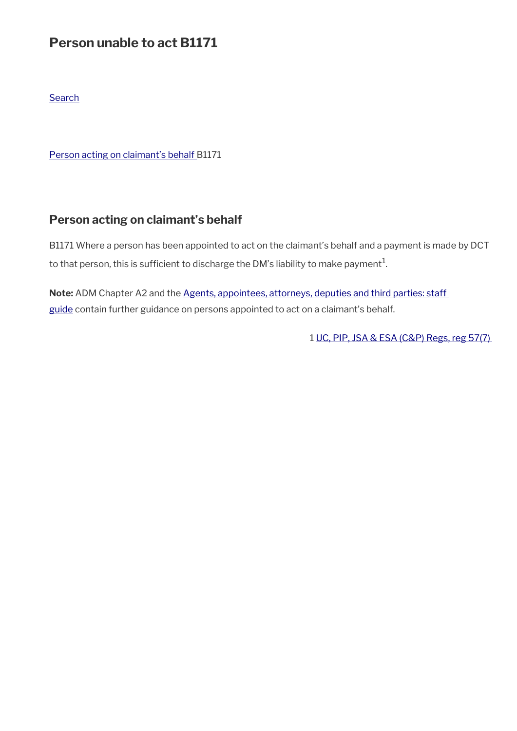## **Person unable to act B1171**

**[Search](http://dwpsearch.link2.gpn.gov.uk/search/search.jsp)** 

[Person acting on claimant's behalf B](#page-26-0)1171

## <span id="page-26-0"></span>**Person acting on claimant's behalf**

B1171 Where a person has been appointed to act on the claimant's behalf and a payment is made by DCT to that person, this is sufficient to discharge the DM's liability to make payment $^1\!$ 

Note: ADM Chapter A2 and the Agents, appointees, attorneys, deputies and third parties: staff [guide](https://www.gov.uk/government/publications/procedures-for-dealing-with-agents-appointees-attorneys-deputies-and-third-parties) contain further guidance on persons appointed to act on a claimant's behalf.

1 [UC, PIP, JSA & ESA \(C&P\) Regs, reg 57\(7\)](http://www.legislation.gov.uk/uksi/2013/380/regulation/57)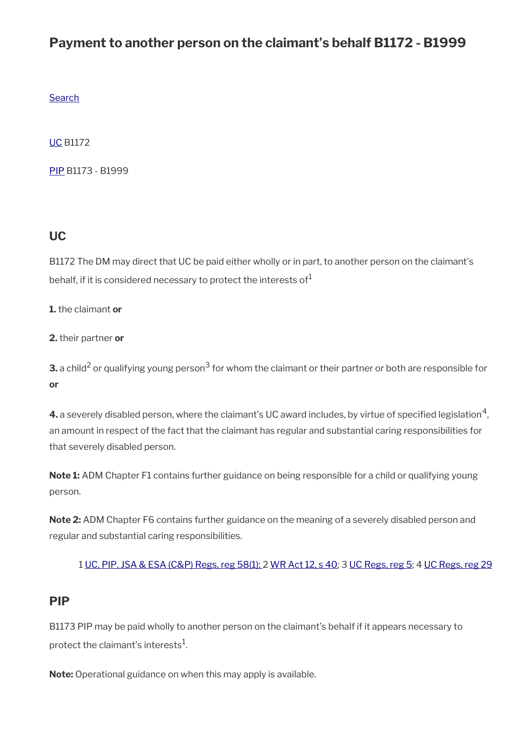## **Payment to another person on the claimant's behalf B1172 - B1999**

#### **[Search](http://dwpsearch.link2.gpn.gov.uk/search/search.jsp)**

[UC](#page-27-0) B1172

[PIP](#page-2-1) B1173 - B1999

## <span id="page-27-0"></span>**UC**

B1172 The DM may direct that UC be paid either wholly or in part, to another person on the claimant's behalf, if it is considered necessary to protect the interests of  $1$ 

**1.** the claimant **or**

**2.** their partner **or**

 ${\bf 3.}$  a child<sup>2</sup> or qualifying young person $^3$  for whom the claimant or their partner or both are responsible for **or**

**4.** a severely disabled person, where the claimant's UC award includes, by virtue of specified legislation<sup>4</sup>, an amount in respect of the fact that the claimant has regular and substantial caring responsibilities for that severely disabled person.

**Note 1:** ADM Chapter F1 contains further guidance on being responsible for a child or qualifying young person.

**Note 2:** ADM Chapter F6 contains further guidance on the meaning of a severely disabled person and regular and substantial caring responsibilities.

#### 1 [UC, PIP, JSA & ESA \(C&P\) Regs, reg 58\(1\); 2](http://www.legislation.gov.uk/uksi/2013/380/regulation/58) [WR Act 12, s 40;](http://www.legislation.gov.uk/ukpga/2012/5/section/40) 3 [UC Regs, reg 5;](http://www.legislation.gov.uk/uksi/2013/376/regulation/5) 4 [UC Regs, reg 29](http://www.legislation.gov.uk/uksi/2013/376/regulation/29)

## **PIP**

B1173 PIP may be paid wholly to another person on the claimant's behalf if it appears necessary to protect the claimant's interests $^{\rm 1}$ .

**Note:** Operational guidance on when this may apply is available.